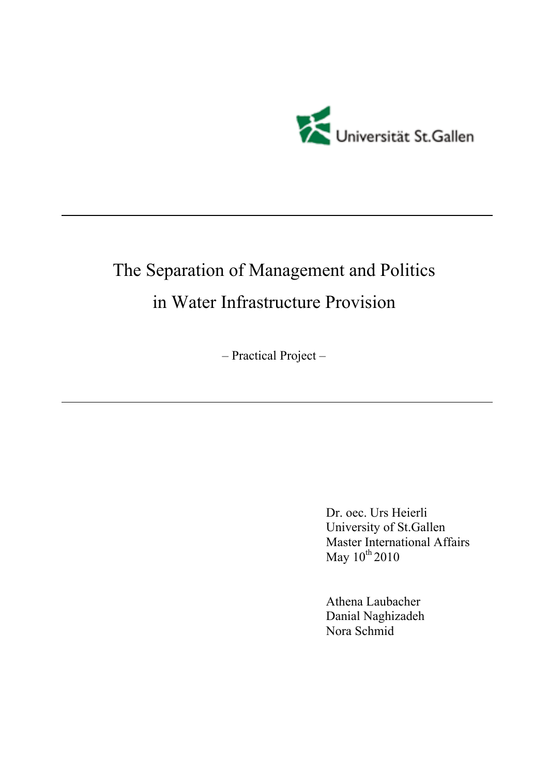

# The Separation of Management and Politics in Water Infrastructure Provision

– Practical Project –

Dr. oec. Urs Heierli University of St.Gallen Master International Affairs May  $10^{th}$  2010

Athena Laubacher Danial Naghizadeh Nora Schmid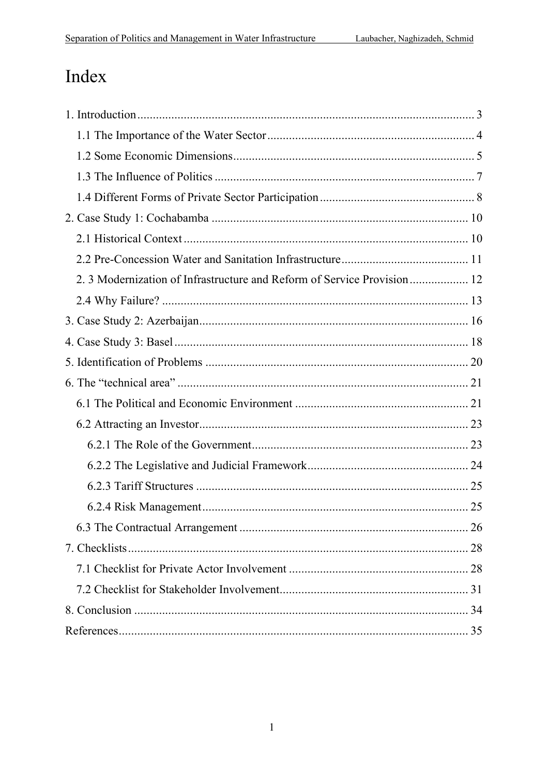# Index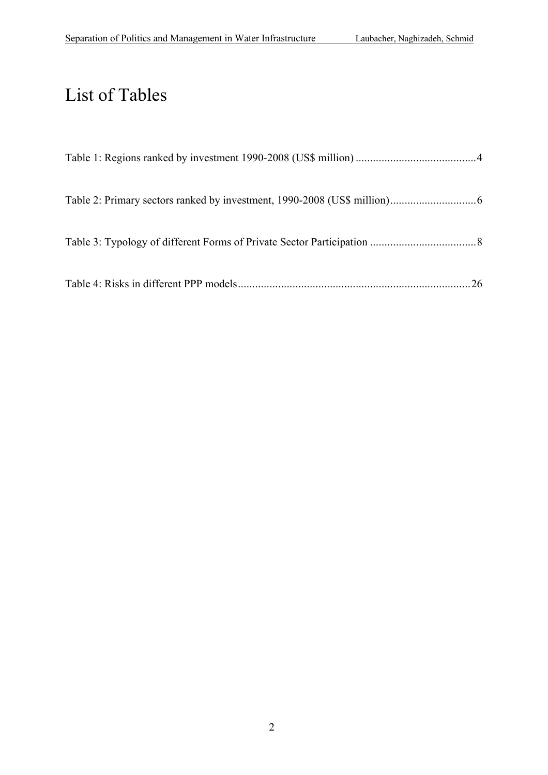# List of Tables

| .26 |
|-----|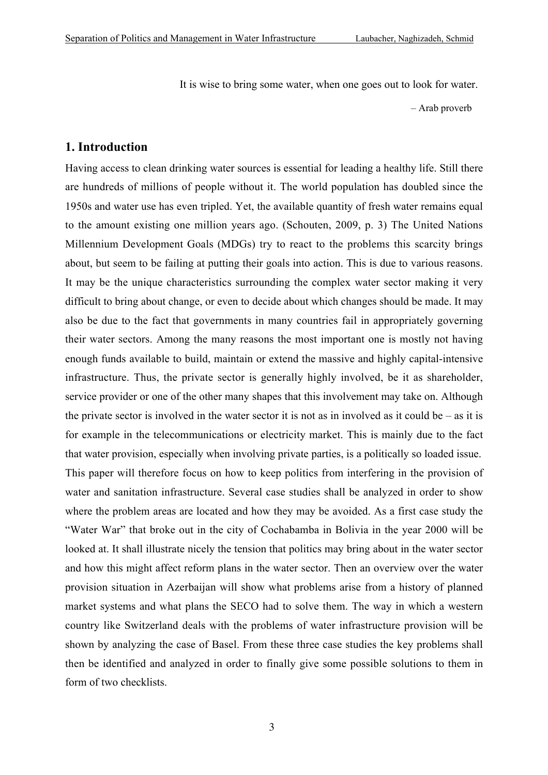It is wise to bring some water, when one goes out to look for water.

– Arab proverb

## **1. Introduction**

Having access to clean drinking water sources is essential for leading a healthy life. Still there are hundreds of millions of people without it. The world population has doubled since the 1950s and water use has even tripled. Yet, the available quantity of fresh water remains equal to the amount existing one million years ago. (Schouten, 2009, p. 3) The United Nations Millennium Development Goals (MDGs) try to react to the problems this scarcity brings about, but seem to be failing at putting their goals into action. This is due to various reasons. It may be the unique characteristics surrounding the complex water sector making it very difficult to bring about change, or even to decide about which changes should be made. It may also be due to the fact that governments in many countries fail in appropriately governing their water sectors. Among the many reasons the most important one is mostly not having enough funds available to build, maintain or extend the massive and highly capital-intensive infrastructure. Thus, the private sector is generally highly involved, be it as shareholder, service provider or one of the other many shapes that this involvement may take on. Although the private sector is involved in the water sector it is not as in involved as it could be  $-$  as it is for example in the telecommunications or electricity market. This is mainly due to the fact that water provision, especially when involving private parties, is a politically so loaded issue. This paper will therefore focus on how to keep politics from interfering in the provision of water and sanitation infrastructure. Several case studies shall be analyzed in order to show where the problem areas are located and how they may be avoided. As a first case study the "Water War" that broke out in the city of Cochabamba in Bolivia in the year 2000 will be looked at. It shall illustrate nicely the tension that politics may bring about in the water sector and how this might affect reform plans in the water sector. Then an overview over the water provision situation in Azerbaijan will show what problems arise from a history of planned market systems and what plans the SECO had to solve them. The way in which a western country like Switzerland deals with the problems of water infrastructure provision will be shown by analyzing the case of Basel. From these three case studies the key problems shall then be identified and analyzed in order to finally give some possible solutions to them in form of two checklists.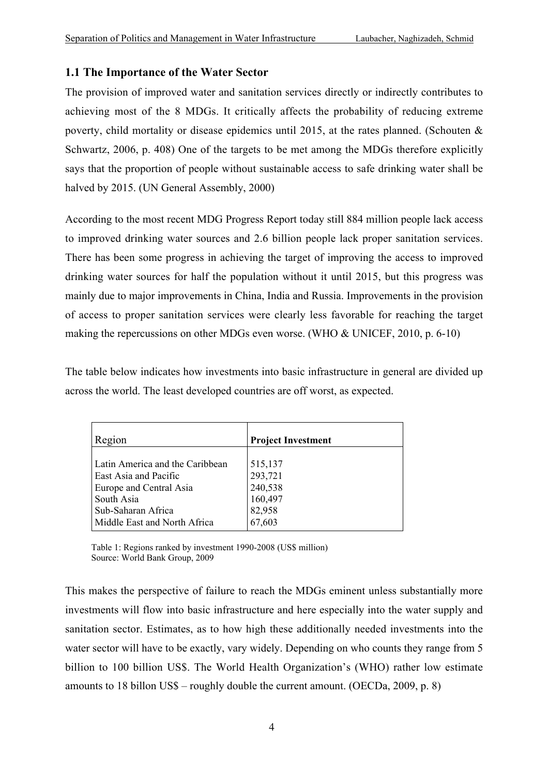### **1.1 The Importance of the Water Sector**

The provision of improved water and sanitation services directly or indirectly contributes to achieving most of the 8 MDGs. It critically affects the probability of reducing extreme poverty, child mortality or disease epidemics until 2015, at the rates planned. (Schouten & Schwartz, 2006, p. 408) One of the targets to be met among the MDGs therefore explicitly says that the proportion of people without sustainable access to safe drinking water shall be halved by 2015. (UN General Assembly, 2000)

According to the most recent MDG Progress Report today still 884 million people lack access to improved drinking water sources and 2.6 billion people lack proper sanitation services. There has been some progress in achieving the target of improving the access to improved drinking water sources for half the population without it until 2015, but this progress was mainly due to major improvements in China, India and Russia. Improvements in the provision of access to proper sanitation services were clearly less favorable for reaching the target making the repercussions on other MDGs even worse. (WHO & UNICEF, 2010, p. 6-10)

The table below indicates how investments into basic infrastructure in general are divided up across the world. The least developed countries are off worst, as expected.

| Region                                                   | <b>Project Investment</b> |
|----------------------------------------------------------|---------------------------|
| Latin America and the Caribbean<br>East Asia and Pacific | 515,137<br>293,721        |
| Europe and Central Asia                                  | 240,538                   |
| South Asia                                               | 160,497                   |
| Sub-Saharan Africa                                       | 82,958                    |
| Middle East and North Africa                             | 67,603                    |

Table 1: Regions ranked by investment 1990-2008 (US\$ million) Source: World Bank Group, 2009

This makes the perspective of failure to reach the MDGs eminent unless substantially more investments will flow into basic infrastructure and here especially into the water supply and sanitation sector. Estimates, as to how high these additionally needed investments into the water sector will have to be exactly, vary widely. Depending on who counts they range from 5 billion to 100 billion US\$. The World Health Organization's (WHO) rather low estimate amounts to 18 billon US\$ – roughly double the current amount. (OECDa, 2009, p. 8)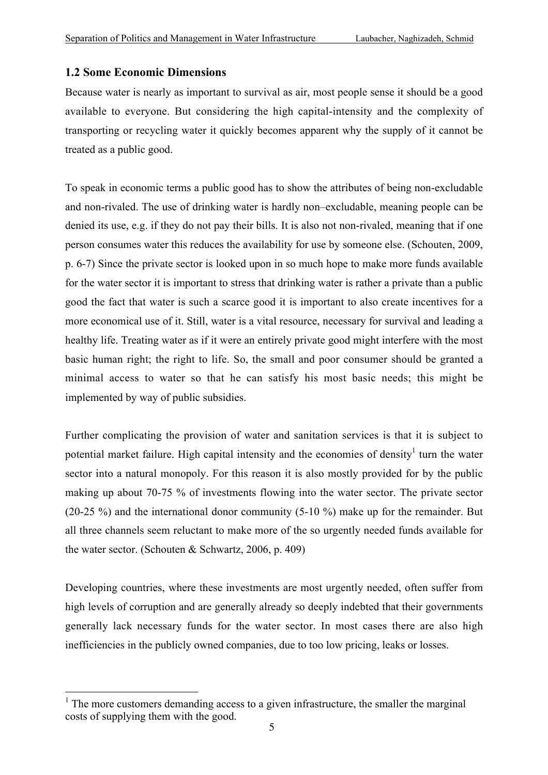#### **1.2 Some Economic Dimensions**

Because water is nearly as important to survival as air, most people sense it should be a good available to everyone. But considering the high capital-intensity and the complexity of transporting or recycling water it quickly becomes apparent why the supply of it cannot be treated as a public good.

To speak in economic terms a public good has to show the attributes of being non-excludable and non-rivaled. The use of drinking water is hardly non–excludable, meaning people can be denied its use, e.g. if they do not pay their bills. It is also not non-rivaled, meaning that if one person consumes water this reduces the availability for use by someone else. (Schouten, 2009, p. 6-7) Since the private sector is looked upon in so much hope to make more funds available for the water sector it is important to stress that drinking water is rather a private than a public good the fact that water is such a scarce good it is important to also create incentives for a more economical use of it. Still, water is a vital resource, necessary for survival and leading a healthy life. Treating water as if it were an entirely private good might interfere with the most basic human right; the right to life. So, the small and poor consumer should be granted a minimal access to water so that he can satisfy his most basic needs; this might be implemented by way of public subsidies.

Further complicating the provision of water and sanitation services is that it is subject to potential market failure. High capital intensity and the economies of density<sup>1</sup> turn the water sector into a natural monopoly. For this reason it is also mostly provided for by the public making up about 70-75 % of investments flowing into the water sector. The private sector (20-25 %) and the international donor community (5-10 %) make up for the remainder. But all three channels seem reluctant to make more of the so urgently needed funds available for the water sector. (Schouten & Schwartz, 2006, p. 409)

Developing countries, where these investments are most urgently needed, often suffer from high levels of corruption and are generally already so deeply indebted that their governments generally lack necessary funds for the water sector. In most cases there are also high inefficiencies in the publicly owned companies, due to too low pricing, leaks or losses.

<sup>&</sup>lt;sup>1</sup> The more customers demanding access to a given infrastructure, the smaller the marginal costs of supplying them with the good.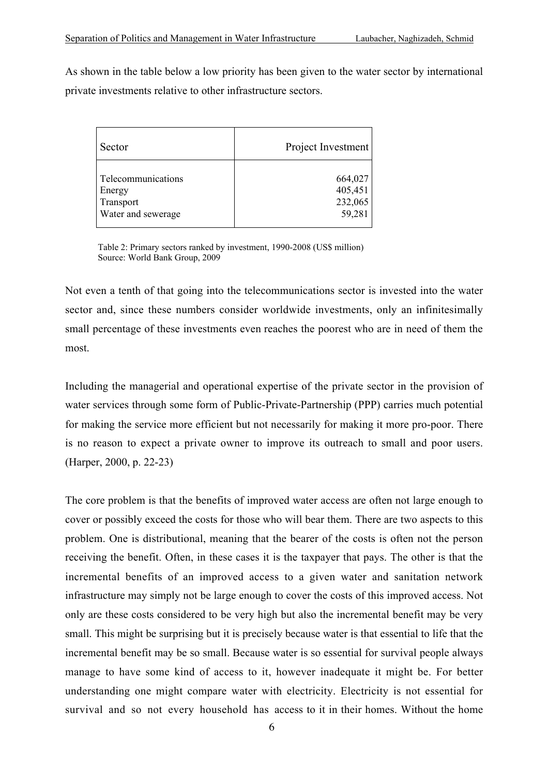As shown in the table below a low priority has been given to the water sector by international private investments relative to other infrastructure sectors.

| Sector             | Project Investment |
|--------------------|--------------------|
| Telecommunications | 664,027            |
| Energy             | 405,451            |
| Transport          | 232,065            |
| Water and sewerage | 59,281             |

Table 2: Primary sectors ranked by investment, 1990-2008 (US\$ million) Source: World Bank Group, 2009

Not even a tenth of that going into the telecommunications sector is invested into the water sector and, since these numbers consider worldwide investments, only an infinitesimally small percentage of these investments even reaches the poorest who are in need of them the most.

Including the managerial and operational expertise of the private sector in the provision of water services through some form of Public-Private-Partnership (PPP) carries much potential for making the service more efficient but not necessarily for making it more pro-poor. There is no reason to expect a private owner to improve its outreach to small and poor users. (Harper, 2000, p. 22-23)

The core problem is that the benefits of improved water access are often not large enough to cover or possibly exceed the costs for those who will bear them. There are two aspects to this problem. One is distributional, meaning that the bearer of the costs is often not the person receiving the benefit. Often, in these cases it is the taxpayer that pays. The other is that the incremental benefits of an improved access to a given water and sanitation network infrastructure may simply not be large enough to cover the costs of this improved access. Not only are these costs considered to be very high but also the incremental benefit may be very small. This might be surprising but it is precisely because water is that essential to life that the incremental benefit may be so small. Because water is so essential for survival people always manage to have some kind of access to it, however inadequate it might be. For better understanding one might compare water with electricity. Electricity is not essential for survival and so not every household has access to it in their homes. Without the home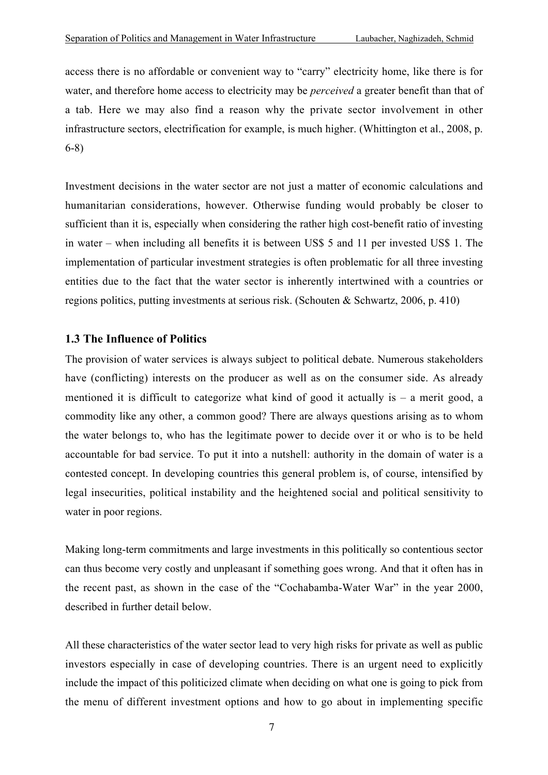access there is no affordable or convenient way to "carry" electricity home, like there is for water, and therefore home access to electricity may be *perceived* a greater benefit than that of a tab. Here we may also find a reason why the private sector involvement in other infrastructure sectors, electrification for example, is much higher. (Whittington et al., 2008, p. 6-8)

Investment decisions in the water sector are not just a matter of economic calculations and humanitarian considerations, however. Otherwise funding would probably be closer to sufficient than it is, especially when considering the rather high cost-benefit ratio of investing in water – when including all benefits it is between US\$ 5 and 11 per invested US\$ 1. The implementation of particular investment strategies is often problematic for all three investing entities due to the fact that the water sector is inherently intertwined with a countries or regions politics, putting investments at serious risk. (Schouten & Schwartz, 2006, p. 410)

#### **1.3 The Influence of Politics**

The provision of water services is always subject to political debate. Numerous stakeholders have (conflicting) interests on the producer as well as on the consumer side. As already mentioned it is difficult to categorize what kind of good it actually is  $-$  a merit good, a commodity like any other, a common good? There are always questions arising as to whom the water belongs to, who has the legitimate power to decide over it or who is to be held accountable for bad service. To put it into a nutshell: authority in the domain of water is a contested concept. In developing countries this general problem is, of course, intensified by legal insecurities, political instability and the heightened social and political sensitivity to water in poor regions.

Making long-term commitments and large investments in this politically so contentious sector can thus become very costly and unpleasant if something goes wrong. And that it often has in the recent past, as shown in the case of the "Cochabamba-Water War" in the year 2000, described in further detail below.

All these characteristics of the water sector lead to very high risks for private as well as public investors especially in case of developing countries. There is an urgent need to explicitly include the impact of this politicized climate when deciding on what one is going to pick from the menu of different investment options and how to go about in implementing specific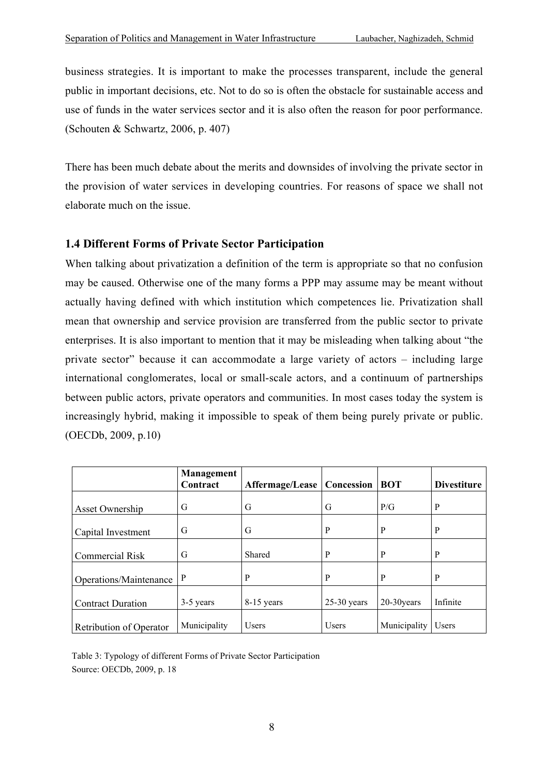business strategies. It is important to make the processes transparent, include the general public in important decisions, etc. Not to do so is often the obstacle for sustainable access and use of funds in the water services sector and it is also often the reason for poor performance. (Schouten & Schwartz, 2006, p. 407)

There has been much debate about the merits and downsides of involving the private sector in the provision of water services in developing countries. For reasons of space we shall not elaborate much on the issue.

## **1.4 Different Forms of Private Sector Participation**

When talking about privatization a definition of the term is appropriate so that no confusion may be caused. Otherwise one of the many forms a PPP may assume may be meant without actually having defined with which institution which competences lie. Privatization shall mean that ownership and service provision are transferred from the public sector to private enterprises. It is also important to mention that it may be misleading when talking about "the private sector" because it can accommodate a large variety of actors – including large international conglomerates, local or small-scale actors, and a continuum of partnerships between public actors, private operators and communities. In most cases today the system is increasingly hybrid, making it impossible to speak of them being purely private or public. (OECDb, 2009, p.10)

|                          | Management<br>Contract | Affermage/Lease | Concession    | <b>BOT</b>   | <b>Divestiture</b> |
|--------------------------|------------------------|-----------------|---------------|--------------|--------------------|
| Asset Ownership          | G                      | G               | G             | P/G          | P                  |
| Capital Investment       | G                      | G               | P             | P            | P                  |
| Commercial Risk          | G                      | Shared          | P             | P            | P                  |
| Operations/Maintenance   | P                      | P               | P             | P            | P                  |
| <b>Contract Duration</b> | 3-5 years              | 8-15 years      | $25-30$ years | 20-30years   | Infinite           |
| Retribution of Operator  | Municipality           | <b>Users</b>    | <b>Users</b>  | Municipality | <b>Users</b>       |

Table 3: Typology of different Forms of Private Sector Participation Source: OECDb, 2009, p. 18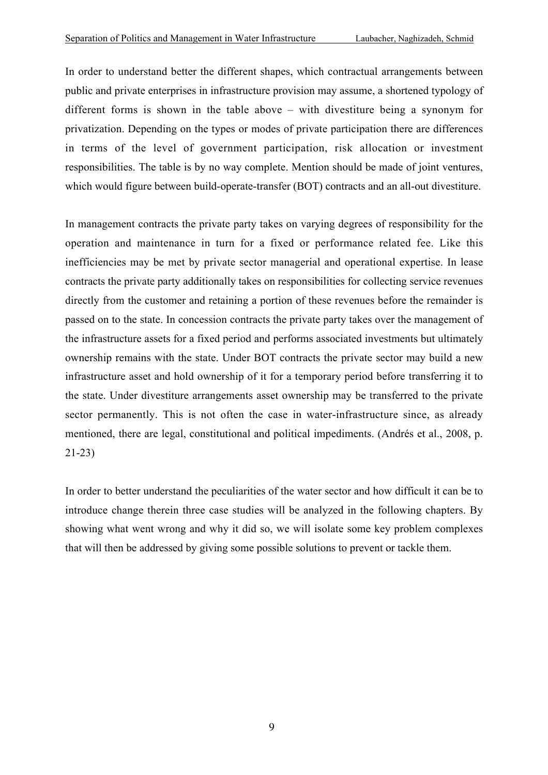In order to understand better the different shapes, which contractual arrangements between public and private enterprises in infrastructure provision may assume, a shortened typology of different forms is shown in the table above – with divestiture being a synonym for privatization. Depending on the types or modes of private participation there are differences in terms of the level of government participation, risk allocation or investment responsibilities. The table is by no way complete. Mention should be made of joint ventures, which would figure between build-operate-transfer (BOT) contracts and an all-out divestiture.

In management contracts the private party takes on varying degrees of responsibility for the operation and maintenance in turn for a fixed or performance related fee. Like this inefficiencies may be met by private sector managerial and operational expertise. In lease contracts the private party additionally takes on responsibilities for collecting service revenues directly from the customer and retaining a portion of these revenues before the remainder is passed on to the state. In concession contracts the private party takes over the management of the infrastructure assets for a fixed period and performs associated investments but ultimately ownership remains with the state. Under BOT contracts the private sector may build a new infrastructure asset and hold ownership of it for a temporary period before transferring it to the state. Under divestiture arrangements asset ownership may be transferred to the private sector permanently. This is not often the case in water-infrastructure since, as already mentioned, there are legal, constitutional and political impediments. (Andrés et al., 2008, p. 21-23)

In order to better understand the peculiarities of the water sector and how difficult it can be to introduce change therein three case studies will be analyzed in the following chapters. By showing what went wrong and why it did so, we will isolate some key problem complexes that will then be addressed by giving some possible solutions to prevent or tackle them.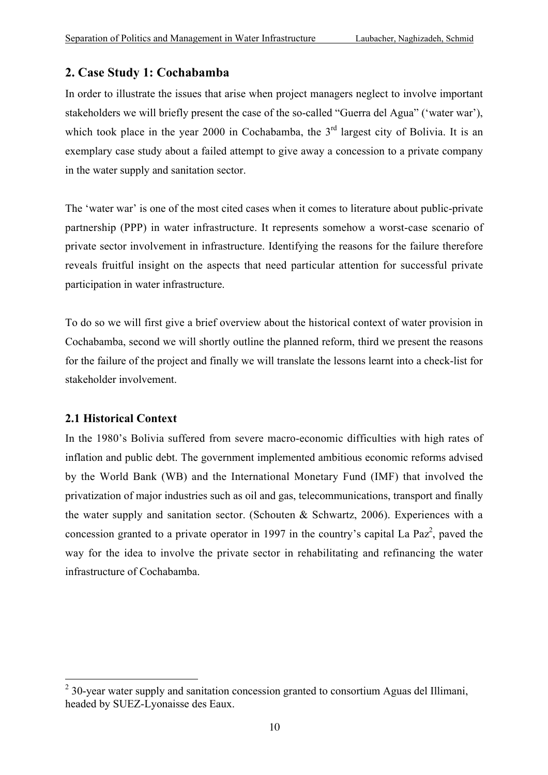## **2. Case Study 1: Cochabamba**

In order to illustrate the issues that arise when project managers neglect to involve important stakeholders we will briefly present the case of the so-called "Guerra del Agua" ('water war'), which took place in the year 2000 in Cochabamba, the 3<sup>rd</sup> largest city of Bolivia. It is an exemplary case study about a failed attempt to give away a concession to a private company in the water supply and sanitation sector.

The 'water war' is one of the most cited cases when it comes to literature about public-private partnership (PPP) in water infrastructure. It represents somehow a worst-case scenario of private sector involvement in infrastructure. Identifying the reasons for the failure therefore reveals fruitful insight on the aspects that need particular attention for successful private participation in water infrastructure.

To do so we will first give a brief overview about the historical context of water provision in Cochabamba, second we will shortly outline the planned reform, third we present the reasons for the failure of the project and finally we will translate the lessons learnt into a check-list for stakeholder involvement.

## **2.1 Historical Context**

In the 1980's Bolivia suffered from severe macro-economic difficulties with high rates of inflation and public debt. The government implemented ambitious economic reforms advised by the World Bank (WB) and the International Monetary Fund (IMF) that involved the privatization of major industries such as oil and gas, telecommunications, transport and finally the water supply and sanitation sector. (Schouten & Schwartz, 2006). Experiences with a concession granted to a private operator in 1997 in the country's capital La Paz<sup>2</sup>, paved the way for the idea to involve the private sector in rehabilitating and refinancing the water infrastructure of Cochabamba.

<sup>&</sup>lt;sup>2</sup> 30-year water supply and sanitation concession granted to consortium Aguas del Illimani, headed by SUEZ-Lyonaisse des Eaux.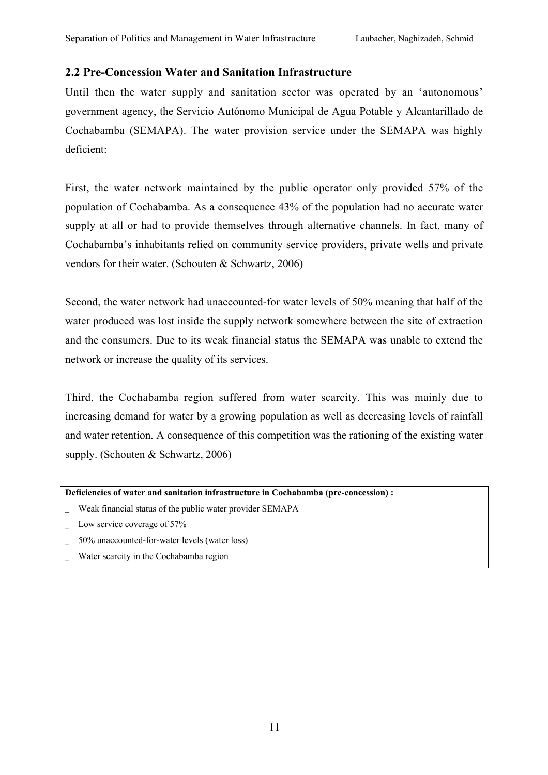## **2.2 Pre-Concession Water and Sanitation Infrastructure**

Until then the water supply and sanitation sector was operated by an 'autonomous' government agency, the Servicio Autónomo Municipal de Agua Potable y Alcantarillado de Cochabamba (SEMAPA). The water provision service under the SEMAPA was highly deficient:

First, the water network maintained by the public operator only provided 57% of the population of Cochabamba. As a consequence 43% of the population had no accurate water supply at all or had to provide themselves through alternative channels. In fact, many of Cochabamba's inhabitants relied on community service providers, private wells and private vendors for their water. (Schouten & Schwartz, 2006)

Second, the water network had unaccounted-for water levels of 50% meaning that half of the water produced was lost inside the supply network somewhere between the site of extraction and the consumers. Due to its weak financial status the SEMAPA was unable to extend the network or increase the quality of its services.

Third, the Cochabamba region suffered from water scarcity. This was mainly due to increasing demand for water by a growing population as well as decreasing levels of rainfall and water retention. A consequence of this competition was the rationing of the existing water supply. (Schouten & Schwartz, 2006)

#### **Deficiencies of water and sanitation infrastructure in Cochabamba (pre-concession) :**

- \_ Weak financial status of the public water provider SEMAPA
- Low service coverage of 57%
- \_ 50% unaccounted-for-water levels (water loss)
- Water scarcity in the Cochabamba region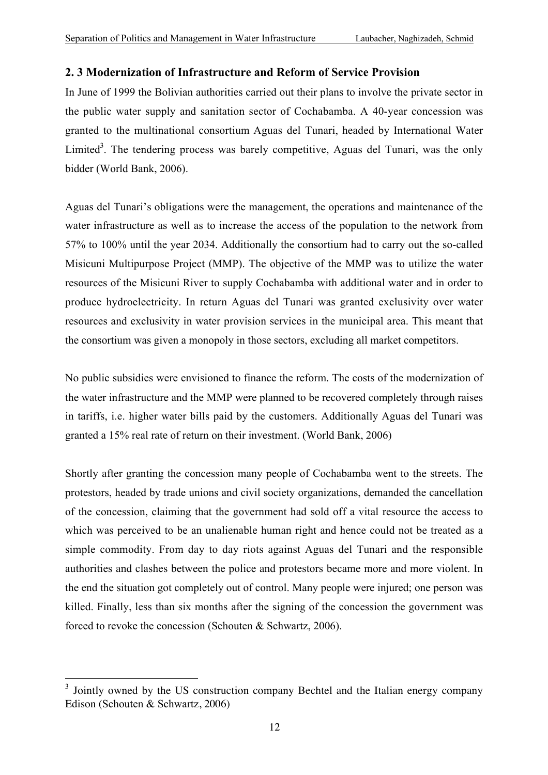### **2. 3 Modernization of Infrastructure and Reform of Service Provision**

In June of 1999 the Bolivian authorities carried out their plans to involve the private sector in the public water supply and sanitation sector of Cochabamba. A 40-year concession was granted to the multinational consortium Aguas del Tunari, headed by International Water Limited<sup>3</sup>. The tendering process was barely competitive, Aguas del Tunari, was the only bidder (World Bank, 2006).

Aguas del Tunari's obligations were the management, the operations and maintenance of the water infrastructure as well as to increase the access of the population to the network from 57% to 100% until the year 2034. Additionally the consortium had to carry out the so-called Misicuni Multipurpose Project (MMP). The objective of the MMP was to utilize the water resources of the Misicuni River to supply Cochabamba with additional water and in order to produce hydroelectricity. In return Aguas del Tunari was granted exclusivity over water resources and exclusivity in water provision services in the municipal area. This meant that the consortium was given a monopoly in those sectors, excluding all market competitors.

No public subsidies were envisioned to finance the reform. The costs of the modernization of the water infrastructure and the MMP were planned to be recovered completely through raises in tariffs, i.e. higher water bills paid by the customers. Additionally Aguas del Tunari was granted a 15% real rate of return on their investment. (World Bank, 2006)

Shortly after granting the concession many people of Cochabamba went to the streets. The protestors, headed by trade unions and civil society organizations, demanded the cancellation of the concession, claiming that the government had sold off a vital resource the access to which was perceived to be an unalienable human right and hence could not be treated as a simple commodity. From day to day riots against Aguas del Tunari and the responsible authorities and clashes between the police and protestors became more and more violent. In the end the situation got completely out of control. Many people were injured; one person was killed. Finally, less than six months after the signing of the concession the government was forced to revoke the concession (Schouten & Schwartz, 2006).

<sup>&</sup>lt;sup>3</sup> Jointly owned by the US construction company Bechtel and the Italian energy company Edison (Schouten & Schwartz, 2006)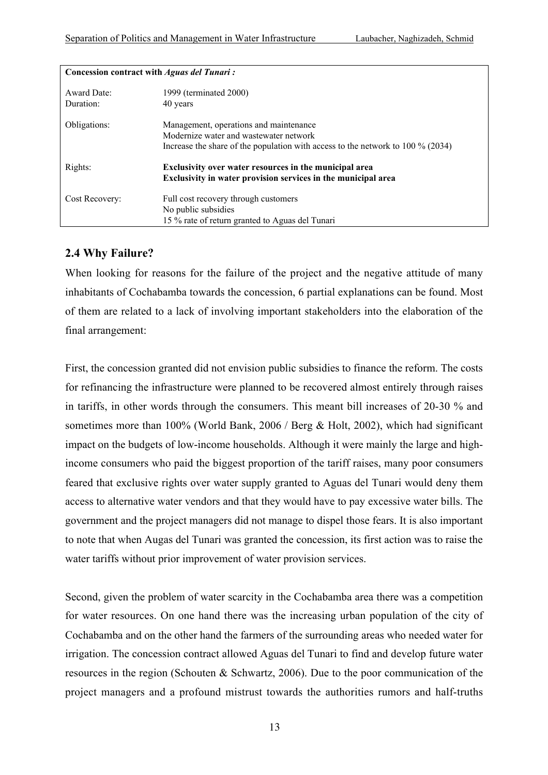| Concession contract with <i>Aguas del Tunari</i> : |                                                                                   |  |
|----------------------------------------------------|-----------------------------------------------------------------------------------|--|
| Award Date:                                        | 1999 (terminated 2000)                                                            |  |
| Duration:                                          | 40 years                                                                          |  |
| Obligations:                                       | Management, operations and maintenance                                            |  |
|                                                    | Modernize water and wastewater network                                            |  |
|                                                    | Increase the share of the population with access to the network to $100\%$ (2034) |  |
| Rights:                                            | Exclusivity over water resources in the municipal area                            |  |
|                                                    | Exclusivity in water provision services in the municipal area                     |  |
| Cost Recovery:                                     | Full cost recovery through customers                                              |  |
|                                                    | No public subsidies                                                               |  |
|                                                    | 15 % rate of return granted to Aguas del Tunari                                   |  |

#### **2.4 Why Failure?**

When looking for reasons for the failure of the project and the negative attitude of many inhabitants of Cochabamba towards the concession, 6 partial explanations can be found. Most of them are related to a lack of involving important stakeholders into the elaboration of the final arrangement:

First, the concession granted did not envision public subsidies to finance the reform. The costs for refinancing the infrastructure were planned to be recovered almost entirely through raises in tariffs, in other words through the consumers. This meant bill increases of 20-30 % and sometimes more than 100% (World Bank, 2006 / Berg & Holt, 2002), which had significant impact on the budgets of low-income households. Although it were mainly the large and highincome consumers who paid the biggest proportion of the tariff raises, many poor consumers feared that exclusive rights over water supply granted to Aguas del Tunari would deny them access to alternative water vendors and that they would have to pay excessive water bills. The government and the project managers did not manage to dispel those fears. It is also important to note that when Augas del Tunari was granted the concession, its first action was to raise the water tariffs without prior improvement of water provision services.

Second, given the problem of water scarcity in the Cochabamba area there was a competition for water resources. On one hand there was the increasing urban population of the city of Cochabamba and on the other hand the farmers of the surrounding areas who needed water for irrigation. The concession contract allowed Aguas del Tunari to find and develop future water resources in the region (Schouten & Schwartz, 2006). Due to the poor communication of the project managers and a profound mistrust towards the authorities rumors and half-truths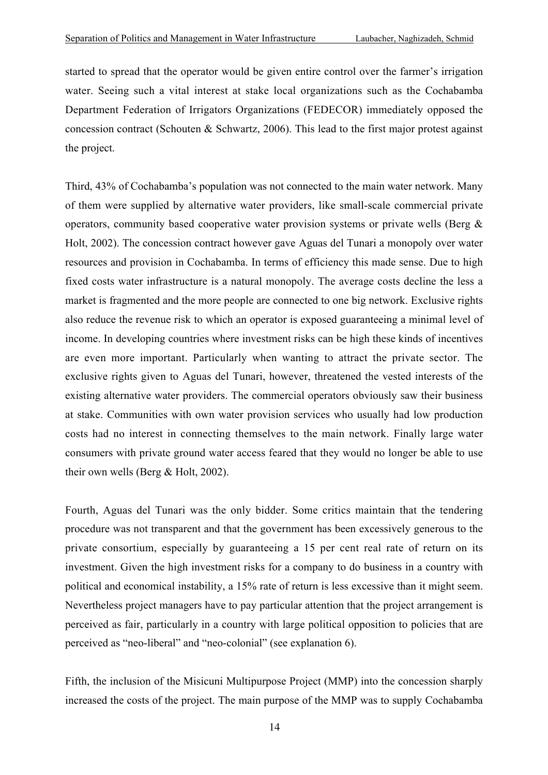started to spread that the operator would be given entire control over the farmer's irrigation water. Seeing such a vital interest at stake local organizations such as the Cochabamba Department Federation of Irrigators Organizations (FEDECOR) immediately opposed the concession contract (Schouten & Schwartz, 2006). This lead to the first major protest against the project.

Third, 43% of Cochabamba's population was not connected to the main water network. Many of them were supplied by alternative water providers, like small-scale commercial private operators, community based cooperative water provision systems or private wells (Berg & Holt, 2002). The concession contract however gave Aguas del Tunari a monopoly over water resources and provision in Cochabamba. In terms of efficiency this made sense. Due to high fixed costs water infrastructure is a natural monopoly. The average costs decline the less a market is fragmented and the more people are connected to one big network. Exclusive rights also reduce the revenue risk to which an operator is exposed guaranteeing a minimal level of income. In developing countries where investment risks can be high these kinds of incentives are even more important. Particularly when wanting to attract the private sector. The exclusive rights given to Aguas del Tunari, however, threatened the vested interests of the existing alternative water providers. The commercial operators obviously saw their business at stake. Communities with own water provision services who usually had low production costs had no interest in connecting themselves to the main network. Finally large water consumers with private ground water access feared that they would no longer be able to use their own wells (Berg & Holt, 2002).

Fourth, Aguas del Tunari was the only bidder. Some critics maintain that the tendering procedure was not transparent and that the government has been excessively generous to the private consortium, especially by guaranteeing a 15 per cent real rate of return on its investment. Given the high investment risks for a company to do business in a country with political and economical instability, a 15% rate of return is less excessive than it might seem. Nevertheless project managers have to pay particular attention that the project arrangement is perceived as fair, particularly in a country with large political opposition to policies that are perceived as "neo-liberal" and "neo-colonial" (see explanation 6).

Fifth, the inclusion of the Misicuni Multipurpose Project (MMP) into the concession sharply increased the costs of the project. The main purpose of the MMP was to supply Cochabamba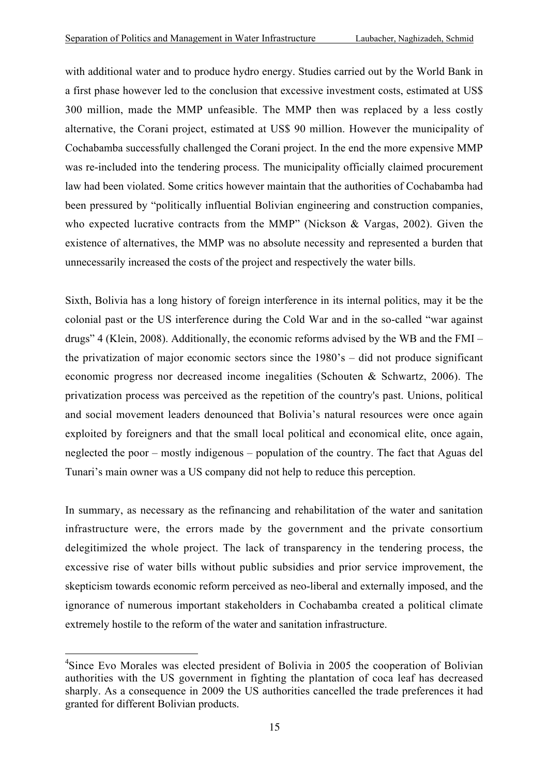with additional water and to produce hydro energy. Studies carried out by the World Bank in a first phase however led to the conclusion that excessive investment costs, estimated at US\$ 300 million, made the MMP unfeasible. The MMP then was replaced by a less costly alternative, the Corani project, estimated at US\$ 90 million. However the municipality of Cochabamba successfully challenged the Corani project. In the end the more expensive MMP was re-included into the tendering process. The municipality officially claimed procurement law had been violated. Some critics however maintain that the authorities of Cochabamba had been pressured by "politically influential Bolivian engineering and construction companies, who expected lucrative contracts from the MMP" (Nickson & Vargas, 2002). Given the existence of alternatives, the MMP was no absolute necessity and represented a burden that unnecessarily increased the costs of the project and respectively the water bills.

Sixth, Bolivia has a long history of foreign interference in its internal politics, may it be the colonial past or the US interference during the Cold War and in the so-called "war against drugs" 4 (Klein, 2008). Additionally, the economic reforms advised by the WB and the FMI – the privatization of major economic sectors since the 1980's – did not produce significant economic progress nor decreased income inegalities (Schouten & Schwartz, 2006). The privatization process was perceived as the repetition of the country's past. Unions, political and social movement leaders denounced that Bolivia's natural resources were once again exploited by foreigners and that the small local political and economical elite, once again, neglected the poor – mostly indigenous – population of the country. The fact that Aguas del Tunari's main owner was a US company did not help to reduce this perception.

In summary, as necessary as the refinancing and rehabilitation of the water and sanitation infrastructure were, the errors made by the government and the private consortium delegitimized the whole project. The lack of transparency in the tendering process, the excessive rise of water bills without public subsidies and prior service improvement, the skepticism towards economic reform perceived as neo-liberal and externally imposed, and the ignorance of numerous important stakeholders in Cochabamba created a political climate extremely hostile to the reform of the water and sanitation infrastructure.

4 Since Evo Morales was elected president of Bolivia in 2005 the cooperation of Bolivian authorities with the US government in fighting the plantation of coca leaf has decreased sharply. As a consequence in 2009 the US authorities cancelled the trade preferences it had granted for different Bolivian products.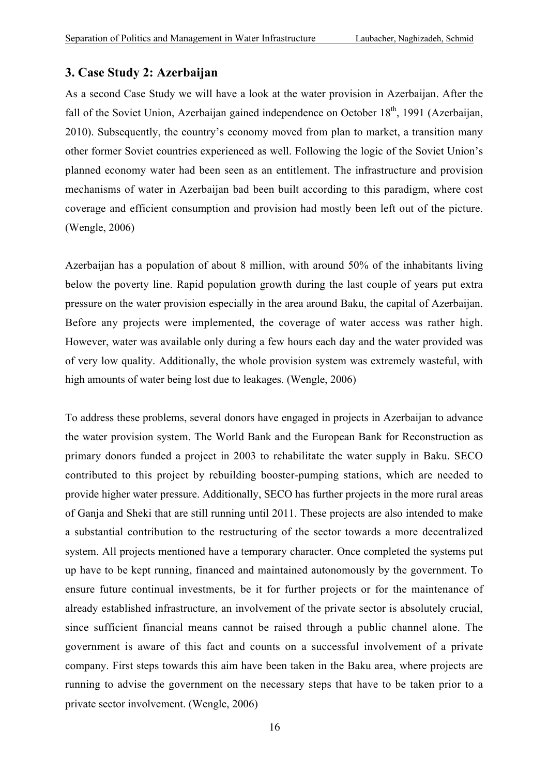## **3. Case Study 2: Azerbaijan**

As a second Case Study we will have a look at the water provision in Azerbaijan. After the fall of the Soviet Union, Azerbaijan gained independence on October  $18<sup>th</sup>$ , 1991 (Azerbaijan, 2010). Subsequently, the country's economy moved from plan to market, a transition many other former Soviet countries experienced as well. Following the logic of the Soviet Union's planned economy water had been seen as an entitlement. The infrastructure and provision mechanisms of water in Azerbaijan bad been built according to this paradigm, where cost coverage and efficient consumption and provision had mostly been left out of the picture. (Wengle, 2006)

Azerbaijan has a population of about 8 million, with around 50% of the inhabitants living below the poverty line. Rapid population growth during the last couple of years put extra pressure on the water provision especially in the area around Baku, the capital of Azerbaijan. Before any projects were implemented, the coverage of water access was rather high. However, water was available only during a few hours each day and the water provided was of very low quality. Additionally, the whole provision system was extremely wasteful, with high amounts of water being lost due to leakages. (Wengle, 2006)

To address these problems, several donors have engaged in projects in Azerbaijan to advance the water provision system. The World Bank and the European Bank for Reconstruction as primary donors funded a project in 2003 to rehabilitate the water supply in Baku. SECO contributed to this project by rebuilding booster-pumping stations, which are needed to provide higher water pressure. Additionally, SECO has further projects in the more rural areas of Ganja and Sheki that are still running until 2011. These projects are also intended to make a substantial contribution to the restructuring of the sector towards a more decentralized system. All projects mentioned have a temporary character. Once completed the systems put up have to be kept running, financed and maintained autonomously by the government. To ensure future continual investments, be it for further projects or for the maintenance of already established infrastructure, an involvement of the private sector is absolutely crucial, since sufficient financial means cannot be raised through a public channel alone. The government is aware of this fact and counts on a successful involvement of a private company. First steps towards this aim have been taken in the Baku area, where projects are running to advise the government on the necessary steps that have to be taken prior to a private sector involvement. (Wengle, 2006)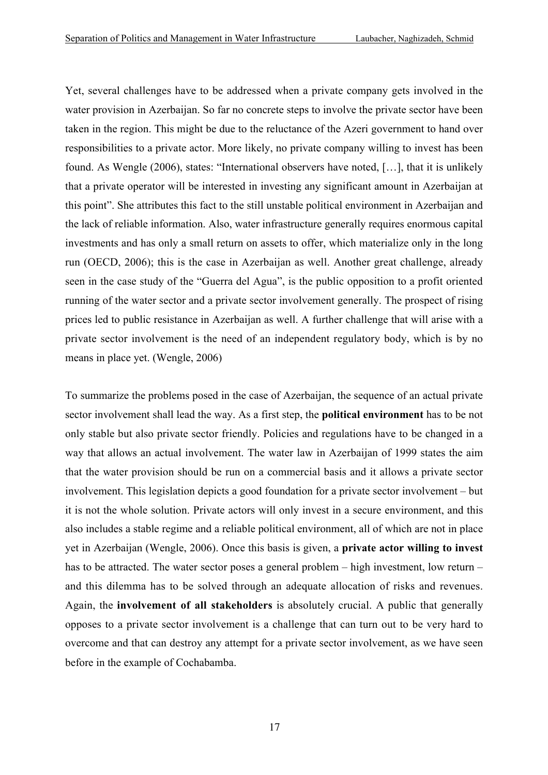Yet, several challenges have to be addressed when a private company gets involved in the water provision in Azerbaijan. So far no concrete steps to involve the private sector have been taken in the region. This might be due to the reluctance of the Azeri government to hand over responsibilities to a private actor. More likely, no private company willing to invest has been found. As Wengle (2006), states: "International observers have noted, […], that it is unlikely that a private operator will be interested in investing any significant amount in Azerbaijan at this point". She attributes this fact to the still unstable political environment in Azerbaijan and the lack of reliable information. Also, water infrastructure generally requires enormous capital investments and has only a small return on assets to offer, which materialize only in the long run (OECD, 2006); this is the case in Azerbaijan as well. Another great challenge, already seen in the case study of the "Guerra del Agua", is the public opposition to a profit oriented running of the water sector and a private sector involvement generally. The prospect of rising prices led to public resistance in Azerbaijan as well. A further challenge that will arise with a private sector involvement is the need of an independent regulatory body, which is by no means in place yet. (Wengle, 2006)

To summarize the problems posed in the case of Azerbaijan, the sequence of an actual private sector involvement shall lead the way. As a first step, the **political environment** has to be not only stable but also private sector friendly. Policies and regulations have to be changed in a way that allows an actual involvement. The water law in Azerbaijan of 1999 states the aim that the water provision should be run on a commercial basis and it allows a private sector involvement. This legislation depicts a good foundation for a private sector involvement – but it is not the whole solution. Private actors will only invest in a secure environment, and this also includes a stable regime and a reliable political environment, all of which are not in place yet in Azerbaijan (Wengle, 2006). Once this basis is given, a **private actor willing to invest** has to be attracted. The water sector poses a general problem – high investment, low return – and this dilemma has to be solved through an adequate allocation of risks and revenues. Again, the **involvement of all stakeholders** is absolutely crucial. A public that generally opposes to a private sector involvement is a challenge that can turn out to be very hard to overcome and that can destroy any attempt for a private sector involvement, as we have seen before in the example of Cochabamba.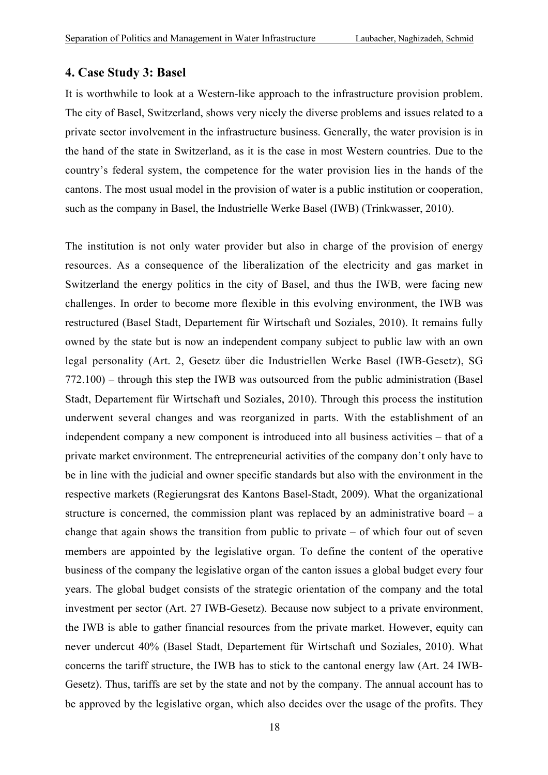#### **4. Case Study 3: Basel**

It is worthwhile to look at a Western-like approach to the infrastructure provision problem. The city of Basel, Switzerland, shows very nicely the diverse problems and issues related to a private sector involvement in the infrastructure business. Generally, the water provision is in the hand of the state in Switzerland, as it is the case in most Western countries. Due to the country's federal system, the competence for the water provision lies in the hands of the cantons. The most usual model in the provision of water is a public institution or cooperation, such as the company in Basel, the Industrielle Werke Basel (IWB) (Trinkwasser, 2010).

The institution is not only water provider but also in charge of the provision of energy resources. As a consequence of the liberalization of the electricity and gas market in Switzerland the energy politics in the city of Basel, and thus the IWB, were facing new challenges. In order to become more flexible in this evolving environment, the IWB was restructured (Basel Stadt, Departement für Wirtschaft und Soziales, 2010). It remains fully owned by the state but is now an independent company subject to public law with an own legal personality (Art. 2, Gesetz über die Industriellen Werke Basel (IWB-Gesetz), SG 772.100) – through this step the IWB was outsourced from the public administration (Basel Stadt, Departement für Wirtschaft und Soziales, 2010). Through this process the institution underwent several changes and was reorganized in parts. With the establishment of an independent company a new component is introduced into all business activities – that of a private market environment. The entrepreneurial activities of the company don't only have to be in line with the judicial and owner specific standards but also with the environment in the respective markets (Regierungsrat des Kantons Basel-Stadt, 2009). What the organizational structure is concerned, the commission plant was replaced by an administrative board  $-$  a change that again shows the transition from public to private – of which four out of seven members are appointed by the legislative organ. To define the content of the operative business of the company the legislative organ of the canton issues a global budget every four years. The global budget consists of the strategic orientation of the company and the total investment per sector (Art. 27 IWB-Gesetz). Because now subject to a private environment, the IWB is able to gather financial resources from the private market. However, equity can never undercut 40% (Basel Stadt, Departement für Wirtschaft und Soziales, 2010). What concerns the tariff structure, the IWB has to stick to the cantonal energy law (Art. 24 IWB-Gesetz). Thus, tariffs are set by the state and not by the company. The annual account has to be approved by the legislative organ, which also decides over the usage of the profits. They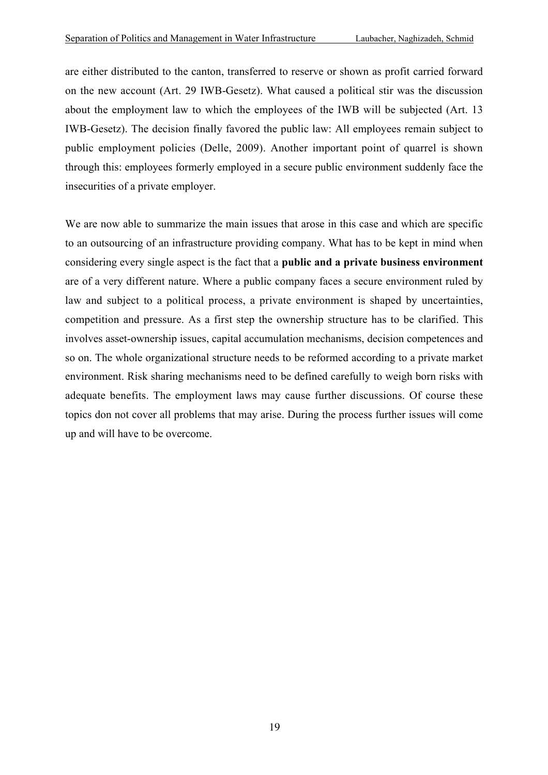are either distributed to the canton, transferred to reserve or shown as profit carried forward on the new account (Art. 29 IWB-Gesetz). What caused a political stir was the discussion about the employment law to which the employees of the IWB will be subjected (Art. 13 IWB-Gesetz). The decision finally favored the public law: All employees remain subject to public employment policies (Delle, 2009). Another important point of quarrel is shown through this: employees formerly employed in a secure public environment suddenly face the insecurities of a private employer.

We are now able to summarize the main issues that arose in this case and which are specific to an outsourcing of an infrastructure providing company. What has to be kept in mind when considering every single aspect is the fact that a **public and a private business environment** are of a very different nature. Where a public company faces a secure environment ruled by law and subject to a political process, a private environment is shaped by uncertainties, competition and pressure. As a first step the ownership structure has to be clarified. This involves asset-ownership issues, capital accumulation mechanisms, decision competences and so on. The whole organizational structure needs to be reformed according to a private market environment. Risk sharing mechanisms need to be defined carefully to weigh born risks with adequate benefits. The employment laws may cause further discussions. Of course these topics don not cover all problems that may arise. During the process further issues will come up and will have to be overcome.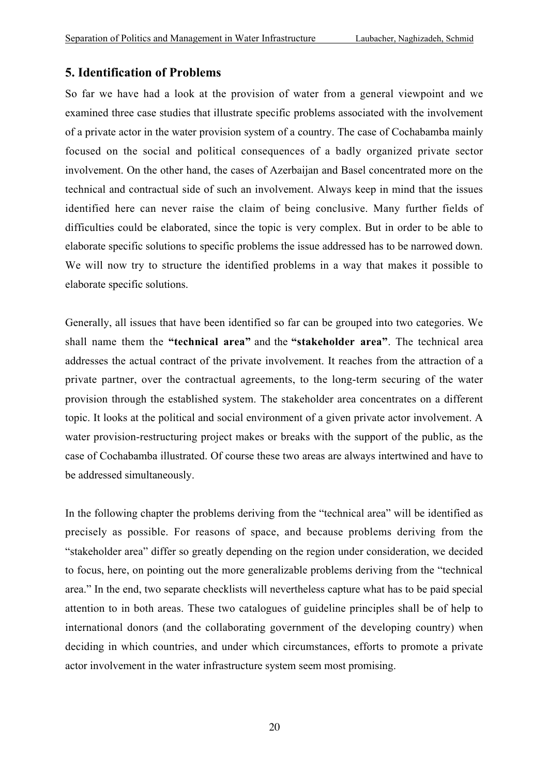#### **5. Identification of Problems**

So far we have had a look at the provision of water from a general viewpoint and we examined three case studies that illustrate specific problems associated with the involvement of a private actor in the water provision system of a country. The case of Cochabamba mainly focused on the social and political consequences of a badly organized private sector involvement. On the other hand, the cases of Azerbaijan and Basel concentrated more on the technical and contractual side of such an involvement. Always keep in mind that the issues identified here can never raise the claim of being conclusive. Many further fields of difficulties could be elaborated, since the topic is very complex. But in order to be able to elaborate specific solutions to specific problems the issue addressed has to be narrowed down. We will now try to structure the identified problems in a way that makes it possible to elaborate specific solutions.

Generally, all issues that have been identified so far can be grouped into two categories. We shall name them the **"technical area"** and the **"stakeholder area"**. The technical area addresses the actual contract of the private involvement. It reaches from the attraction of a private partner, over the contractual agreements, to the long-term securing of the water provision through the established system. The stakeholder area concentrates on a different topic. It looks at the political and social environment of a given private actor involvement. A water provision-restructuring project makes or breaks with the support of the public, as the case of Cochabamba illustrated. Of course these two areas are always intertwined and have to be addressed simultaneously.

In the following chapter the problems deriving from the "technical area" will be identified as precisely as possible. For reasons of space, and because problems deriving from the "stakeholder area" differ so greatly depending on the region under consideration, we decided to focus, here, on pointing out the more generalizable problems deriving from the "technical area." In the end, two separate checklists will nevertheless capture what has to be paid special attention to in both areas. These two catalogues of guideline principles shall be of help to international donors (and the collaborating government of the developing country) when deciding in which countries, and under which circumstances, efforts to promote a private actor involvement in the water infrastructure system seem most promising.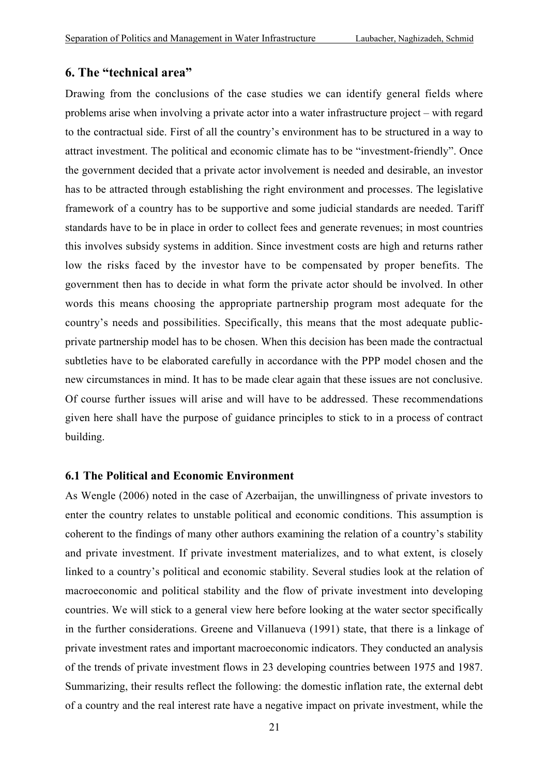#### **6. The "technical area"**

Drawing from the conclusions of the case studies we can identify general fields where problems arise when involving a private actor into a water infrastructure project – with regard to the contractual side. First of all the country's environment has to be structured in a way to attract investment. The political and economic climate has to be "investment-friendly". Once the government decided that a private actor involvement is needed and desirable, an investor has to be attracted through establishing the right environment and processes. The legislative framework of a country has to be supportive and some judicial standards are needed. Tariff standards have to be in place in order to collect fees and generate revenues; in most countries this involves subsidy systems in addition. Since investment costs are high and returns rather low the risks faced by the investor have to be compensated by proper benefits. The government then has to decide in what form the private actor should be involved. In other words this means choosing the appropriate partnership program most adequate for the country's needs and possibilities. Specifically, this means that the most adequate publicprivate partnership model has to be chosen. When this decision has been made the contractual subtleties have to be elaborated carefully in accordance with the PPP model chosen and the new circumstances in mind. It has to be made clear again that these issues are not conclusive. Of course further issues will arise and will have to be addressed. These recommendations given here shall have the purpose of guidance principles to stick to in a process of contract building.

#### **6.1 The Political and Economic Environment**

As Wengle (2006) noted in the case of Azerbaijan, the unwillingness of private investors to enter the country relates to unstable political and economic conditions. This assumption is coherent to the findings of many other authors examining the relation of a country's stability and private investment. If private investment materializes, and to what extent, is closely linked to a country's political and economic stability. Several studies look at the relation of macroeconomic and political stability and the flow of private investment into developing countries. We will stick to a general view here before looking at the water sector specifically in the further considerations. Greene and Villanueva (1991) state, that there is a linkage of private investment rates and important macroeconomic indicators. They conducted an analysis of the trends of private investment flows in 23 developing countries between 1975 and 1987. Summarizing, their results reflect the following: the domestic inflation rate, the external debt of a country and the real interest rate have a negative impact on private investment, while the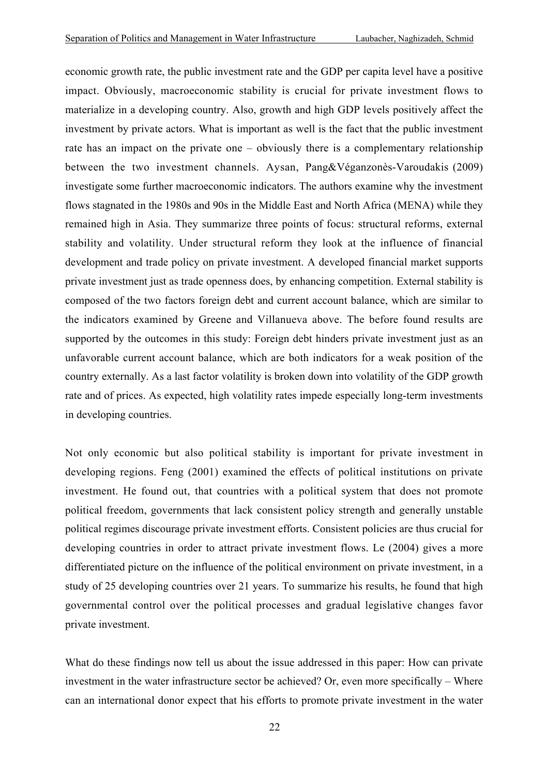economic growth rate, the public investment rate and the GDP per capita level have a positive impact. Obviously, macroeconomic stability is crucial for private investment flows to materialize in a developing country. Also, growth and high GDP levels positively affect the investment by private actors. What is important as well is the fact that the public investment rate has an impact on the private one – obviously there is a complementary relationship between the two investment channels. Aysan, Pang&Véganzonès-Varoudakis (2009) investigate some further macroeconomic indicators. The authors examine why the investment flows stagnated in the 1980s and 90s in the Middle East and North Africa (MENA) while they remained high in Asia. They summarize three points of focus: structural reforms, external stability and volatility. Under structural reform they look at the influence of financial development and trade policy on private investment. A developed financial market supports private investment just as trade openness does, by enhancing competition. External stability is composed of the two factors foreign debt and current account balance, which are similar to the indicators examined by Greene and Villanueva above. The before found results are supported by the outcomes in this study: Foreign debt hinders private investment just as an unfavorable current account balance, which are both indicators for a weak position of the country externally. As a last factor volatility is broken down into volatility of the GDP growth rate and of prices. As expected, high volatility rates impede especially long-term investments in developing countries.

Not only economic but also political stability is important for private investment in developing regions. Feng (2001) examined the effects of political institutions on private investment. He found out, that countries with a political system that does not promote political freedom, governments that lack consistent policy strength and generally unstable political regimes discourage private investment efforts. Consistent policies are thus crucial for developing countries in order to attract private investment flows. Le (2004) gives a more differentiated picture on the influence of the political environment on private investment, in a study of 25 developing countries over 21 years. To summarize his results, he found that high governmental control over the political processes and gradual legislative changes favor private investment.

What do these findings now tell us about the issue addressed in this paper: How can private investment in the water infrastructure sector be achieved? Or, even more specifically – Where can an international donor expect that his efforts to promote private investment in the water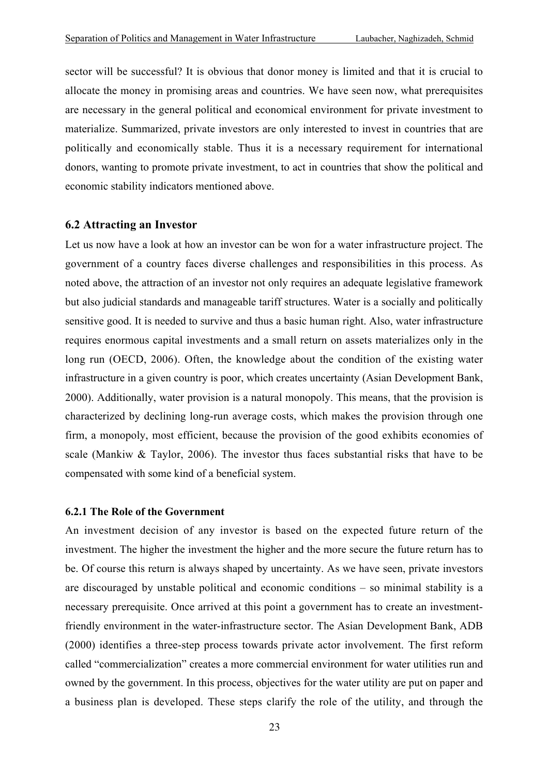sector will be successful? It is obvious that donor money is limited and that it is crucial to allocate the money in promising areas and countries. We have seen now, what prerequisites are necessary in the general political and economical environment for private investment to materialize. Summarized, private investors are only interested to invest in countries that are politically and economically stable. Thus it is a necessary requirement for international donors, wanting to promote private investment, to act in countries that show the political and economic stability indicators mentioned above.

#### **6.2 Attracting an Investor**

Let us now have a look at how an investor can be won for a water infrastructure project. The government of a country faces diverse challenges and responsibilities in this process. As noted above, the attraction of an investor not only requires an adequate legislative framework but also judicial standards and manageable tariff structures. Water is a socially and politically sensitive good. It is needed to survive and thus a basic human right. Also, water infrastructure requires enormous capital investments and a small return on assets materializes only in the long run (OECD, 2006). Often, the knowledge about the condition of the existing water infrastructure in a given country is poor, which creates uncertainty (Asian Development Bank, 2000). Additionally, water provision is a natural monopoly. This means, that the provision is characterized by declining long-run average costs, which makes the provision through one firm, a monopoly, most efficient, because the provision of the good exhibits economies of scale (Mankiw  $\&$  Taylor, 2006). The investor thus faces substantial risks that have to be compensated with some kind of a beneficial system.

#### **6.2.1 The Role of the Government**

An investment decision of any investor is based on the expected future return of the investment. The higher the investment the higher and the more secure the future return has to be. Of course this return is always shaped by uncertainty. As we have seen, private investors are discouraged by unstable political and economic conditions – so minimal stability is a necessary prerequisite. Once arrived at this point a government has to create an investmentfriendly environment in the water-infrastructure sector. The Asian Development Bank, ADB (2000) identifies a three-step process towards private actor involvement. The first reform called "commercialization" creates a more commercial environment for water utilities run and owned by the government. In this process, objectives for the water utility are put on paper and a business plan is developed. These steps clarify the role of the utility, and through the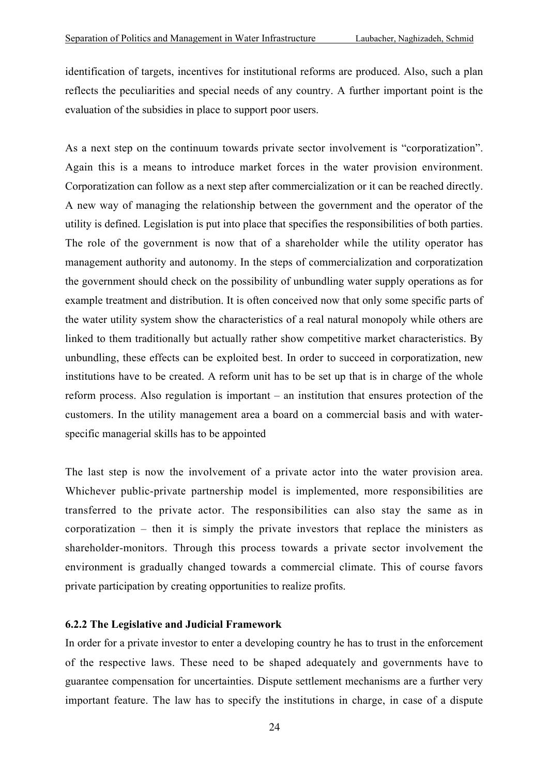identification of targets, incentives for institutional reforms are produced. Also, such a plan reflects the peculiarities and special needs of any country. A further important point is the evaluation of the subsidies in place to support poor users.

As a next step on the continuum towards private sector involvement is "corporatization". Again this is a means to introduce market forces in the water provision environment. Corporatization can follow as a next step after commercialization or it can be reached directly. A new way of managing the relationship between the government and the operator of the utility is defined. Legislation is put into place that specifies the responsibilities of both parties. The role of the government is now that of a shareholder while the utility operator has management authority and autonomy. In the steps of commercialization and corporatization the government should check on the possibility of unbundling water supply operations as for example treatment and distribution. It is often conceived now that only some specific parts of the water utility system show the characteristics of a real natural monopoly while others are linked to them traditionally but actually rather show competitive market characteristics. By unbundling, these effects can be exploited best. In order to succeed in corporatization, new institutions have to be created. A reform unit has to be set up that is in charge of the whole reform process. Also regulation is important – an institution that ensures protection of the customers. In the utility management area a board on a commercial basis and with waterspecific managerial skills has to be appointed

The last step is now the involvement of a private actor into the water provision area. Whichever public-private partnership model is implemented, more responsibilities are transferred to the private actor. The responsibilities can also stay the same as in corporatization – then it is simply the private investors that replace the ministers as shareholder-monitors. Through this process towards a private sector involvement the environment is gradually changed towards a commercial climate. This of course favors private participation by creating opportunities to realize profits.

#### **6.2.2 The Legislative and Judicial Framework**

In order for a private investor to enter a developing country he has to trust in the enforcement of the respective laws. These need to be shaped adequately and governments have to guarantee compensation for uncertainties. Dispute settlement mechanisms are a further very important feature. The law has to specify the institutions in charge, in case of a dispute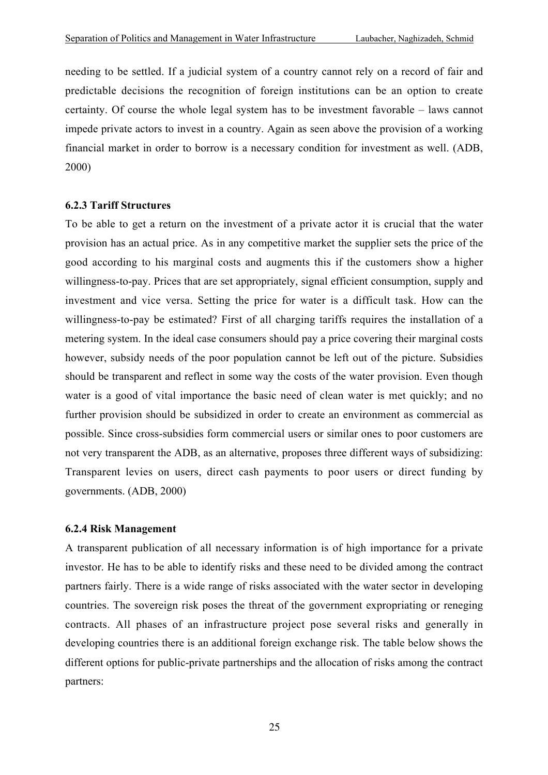needing to be settled. If a judicial system of a country cannot rely on a record of fair and predictable decisions the recognition of foreign institutions can be an option to create certainty. Of course the whole legal system has to be investment favorable – laws cannot impede private actors to invest in a country. Again as seen above the provision of a working financial market in order to borrow is a necessary condition for investment as well. (ADB, 2000)

#### **6.2.3 Tariff Structures**

To be able to get a return on the investment of a private actor it is crucial that the water provision has an actual price. As in any competitive market the supplier sets the price of the good according to his marginal costs and augments this if the customers show a higher willingness-to-pay. Prices that are set appropriately, signal efficient consumption, supply and investment and vice versa. Setting the price for water is a difficult task. How can the willingness-to-pay be estimated? First of all charging tariffs requires the installation of a metering system. In the ideal case consumers should pay a price covering their marginal costs however, subsidy needs of the poor population cannot be left out of the picture. Subsidies should be transparent and reflect in some way the costs of the water provision. Even though water is a good of vital importance the basic need of clean water is met quickly; and no further provision should be subsidized in order to create an environment as commercial as possible. Since cross-subsidies form commercial users or similar ones to poor customers are not very transparent the ADB, as an alternative, proposes three different ways of subsidizing: Transparent levies on users, direct cash payments to poor users or direct funding by governments. (ADB, 2000)

#### **6.2.4 Risk Management**

A transparent publication of all necessary information is of high importance for a private investor. He has to be able to identify risks and these need to be divided among the contract partners fairly. There is a wide range of risks associated with the water sector in developing countries. The sovereign risk poses the threat of the government expropriating or reneging contracts. All phases of an infrastructure project pose several risks and generally in developing countries there is an additional foreign exchange risk. The table below shows the different options for public-private partnerships and the allocation of risks among the contract partners: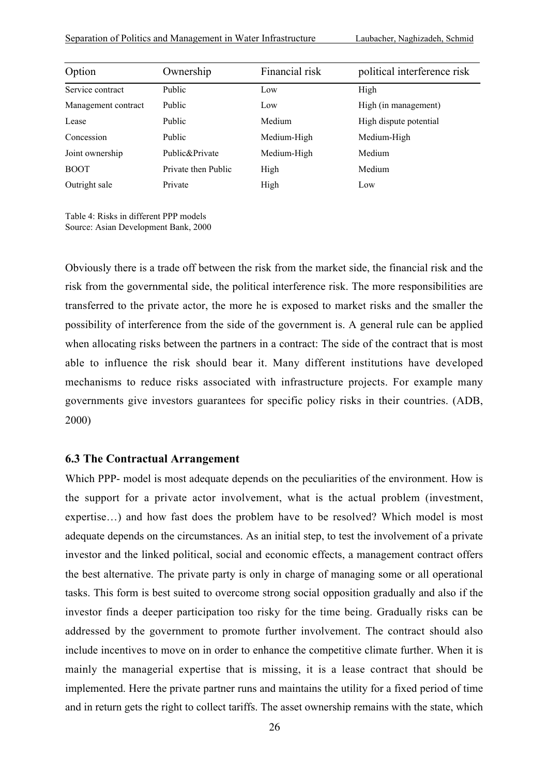| Option              | Ownership           | Financial risk | political interference risk |
|---------------------|---------------------|----------------|-----------------------------|
| Service contract    | Public              | Low            | High                        |
| Management contract | Public              | Low            | High (in management)        |
| Lease               | Public              | Medium         | High dispute potential      |
| Concession          | Public              | Medium-High    | Medium-High                 |
| Joint ownership     | Public&Private      | Medium-High    | Medium                      |
| <b>BOOT</b>         | Private then Public | High           | Medium                      |
| Outright sale       | Private             | High           | Low                         |

Table 4: Risks in different PPP models Source: Asian Development Bank, 2000

Obviously there is a trade off between the risk from the market side, the financial risk and the risk from the governmental side, the political interference risk. The more responsibilities are transferred to the private actor, the more he is exposed to market risks and the smaller the possibility of interference from the side of the government is. A general rule can be applied when allocating risks between the partners in a contract: The side of the contract that is most able to influence the risk should bear it. Many different institutions have developed mechanisms to reduce risks associated with infrastructure projects. For example many governments give investors guarantees for specific policy risks in their countries. (ADB, 2000)

#### **6.3 The Contractual Arrangement**

Which PPP- model is most adequate depends on the peculiarities of the environment. How is the support for a private actor involvement, what is the actual problem (investment, expertise…) and how fast does the problem have to be resolved? Which model is most adequate depends on the circumstances. As an initial step, to test the involvement of a private investor and the linked political, social and economic effects, a management contract offers the best alternative. The private party is only in charge of managing some or all operational tasks. This form is best suited to overcome strong social opposition gradually and also if the investor finds a deeper participation too risky for the time being. Gradually risks can be addressed by the government to promote further involvement. The contract should also include incentives to move on in order to enhance the competitive climate further. When it is mainly the managerial expertise that is missing, it is a lease contract that should be implemented. Here the private partner runs and maintains the utility for a fixed period of time and in return gets the right to collect tariffs. The asset ownership remains with the state, which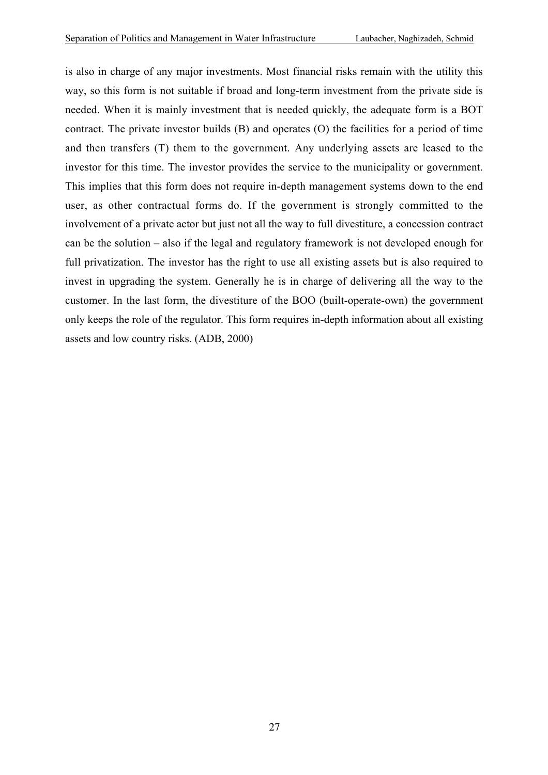is also in charge of any major investments. Most financial risks remain with the utility this way, so this form is not suitable if broad and long-term investment from the private side is needed. When it is mainly investment that is needed quickly, the adequate form is a BOT contract. The private investor builds (B) and operates (O) the facilities for a period of time and then transfers (T) them to the government. Any underlying assets are leased to the investor for this time. The investor provides the service to the municipality or government. This implies that this form does not require in-depth management systems down to the end user, as other contractual forms do. If the government is strongly committed to the involvement of a private actor but just not all the way to full divestiture, a concession contract can be the solution – also if the legal and regulatory framework is not developed enough for full privatization. The investor has the right to use all existing assets but is also required to invest in upgrading the system. Generally he is in charge of delivering all the way to the customer. In the last form, the divestiture of the BOO (built-operate-own) the government only keeps the role of the regulator. This form requires in-depth information about all existing assets and low country risks. (ADB, 2000)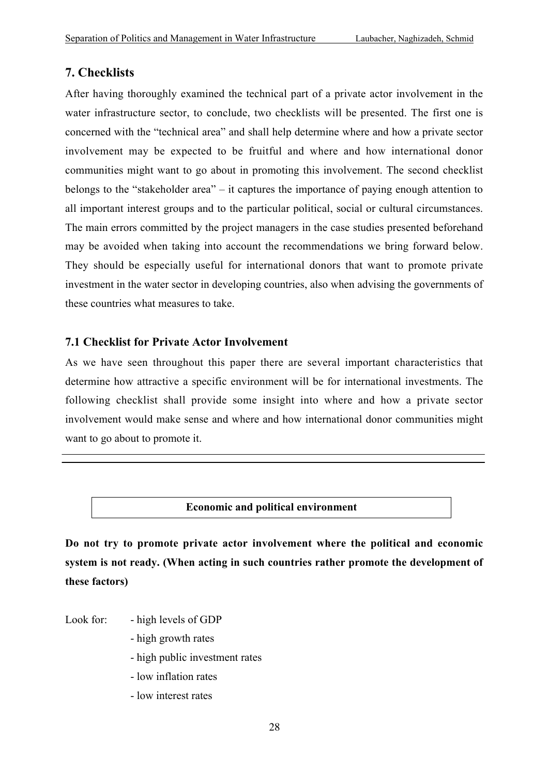## **7. Checklists**

After having thoroughly examined the technical part of a private actor involvement in the water infrastructure sector, to conclude, two checklists will be presented. The first one is concerned with the "technical area" and shall help determine where and how a private sector involvement may be expected to be fruitful and where and how international donor communities might want to go about in promoting this involvement. The second checklist belongs to the "stakeholder area" – it captures the importance of paying enough attention to all important interest groups and to the particular political, social or cultural circumstances. The main errors committed by the project managers in the case studies presented beforehand may be avoided when taking into account the recommendations we bring forward below. They should be especially useful for international donors that want to promote private investment in the water sector in developing countries, also when advising the governments of these countries what measures to take.

## **7.1 Checklist for Private Actor Involvement**

As we have seen throughout this paper there are several important characteristics that determine how attractive a specific environment will be for international investments. The following checklist shall provide some insight into where and how a private sector involvement would make sense and where and how international donor communities might want to go about to promote it.

#### **Economic and political environment**

**Do not try to promote private actor involvement where the political and economic system is not ready. (When acting in such countries rather promote the development of these factors)**

Look for: - high levels of GDP

- high growth rates
- high public investment rates
- low inflation rates
- low interest rates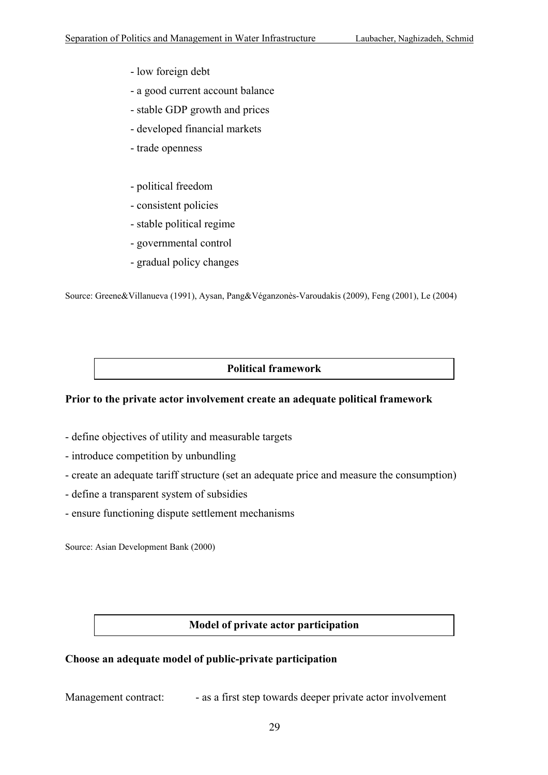- low foreign debt
- a good current account balance
- stable GDP growth and prices
- developed financial markets
- trade openness
- political freedom
- consistent policies
- stable political regime
- governmental control
- gradual policy changes

Source: Greene&Villanueva (1991), Aysan, Pang&Véganzonès-Varoudakis (2009), Feng (2001), Le (2004)

#### **Political framework**

#### **Prior to the private actor involvement create an adequate political framework**

- define objectives of utility and measurable targets
- introduce competition by unbundling
- create an adequate tariff structure (set an adequate price and measure the consumption)
- define a transparent system of subsidies
- ensure functioning dispute settlement mechanisms

Source: Asian Development Bank (2000)

#### **Model of private actor participation**

#### **Choose an adequate model of public-private participation**

Management contract: - as a first step towards deeper private actor involvement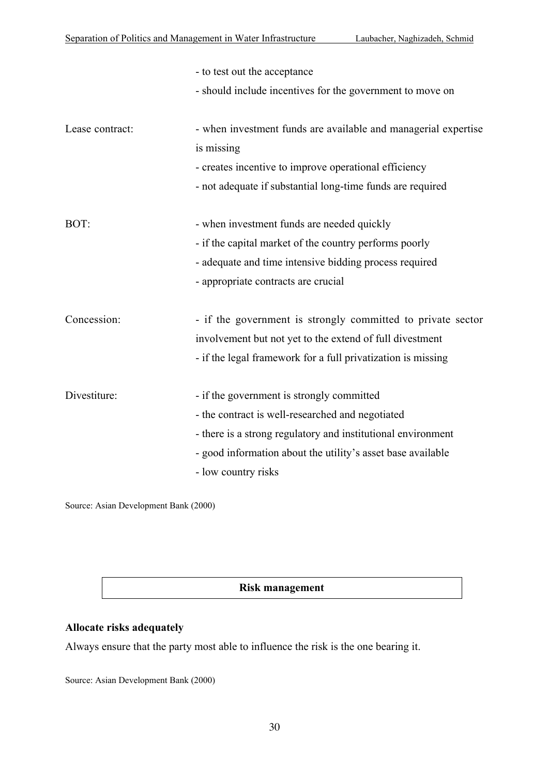|                 | - to test out the acceptance                                   |  |  |
|-----------------|----------------------------------------------------------------|--|--|
|                 | - should include incentives for the government to move on      |  |  |
| Lease contract: | - when investment funds are available and managerial expertise |  |  |
|                 | is missing                                                     |  |  |
|                 | - creates incentive to improve operational efficiency          |  |  |
|                 | - not adequate if substantial long-time funds are required     |  |  |
| BOT:            | - when investment funds are needed quickly                     |  |  |
|                 | - if the capital market of the country performs poorly         |  |  |
|                 | - adequate and time intensive bidding process required         |  |  |
|                 | - appropriate contracts are crucial                            |  |  |
| Concession:     | - if the government is strongly committed to private sector    |  |  |
|                 | involvement but not yet to the extend of full divestment       |  |  |
|                 | - if the legal framework for a full privatization is missing   |  |  |
| Divestiture:    | - if the government is strongly committed                      |  |  |
|                 | - the contract is well-researched and negotiated               |  |  |
|                 | - there is a strong regulatory and institutional environment   |  |  |
|                 | - good information about the utility's asset base available    |  |  |
|                 | - low country risks                                            |  |  |

Source: Asian Development Bank (2000)

#### **Risk management**

#### **Allocate risks adequately**

Always ensure that the party most able to influence the risk is the one bearing it.

Source: Asian Development Bank (2000)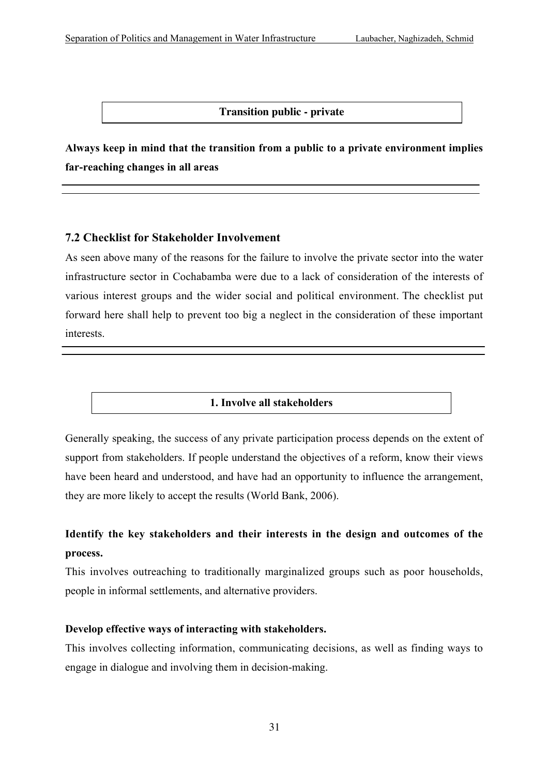#### **Transition public - private**

**Always keep in mind that the transition from a public to a private environment implies far-reaching changes in all areas**

#### **7.2 Checklist for Stakeholder Involvement**

As seen above many of the reasons for the failure to involve the private sector into the water infrastructure sector in Cochabamba were due to a lack of consideration of the interests of various interest groups and the wider social and political environment. The checklist put forward here shall help to prevent too big a neglect in the consideration of these important interests.

## **1. Involve all stakeholders**

Generally speaking, the success of any private participation process depends on the extent of support from stakeholders. If people understand the objectives of a reform, know their views have been heard and understood, and have had an opportunity to influence the arrangement, they are more likely to accept the results (World Bank, 2006).

## **Identify the key stakeholders and their interests in the design and outcomes of the process.**

This involves outreaching to traditionally marginalized groups such as poor households, people in informal settlements, and alternative providers.

#### **Develop effective ways of interacting with stakeholders.**

This involves collecting information, communicating decisions, as well as finding ways to engage in dialogue and involving them in decision-making.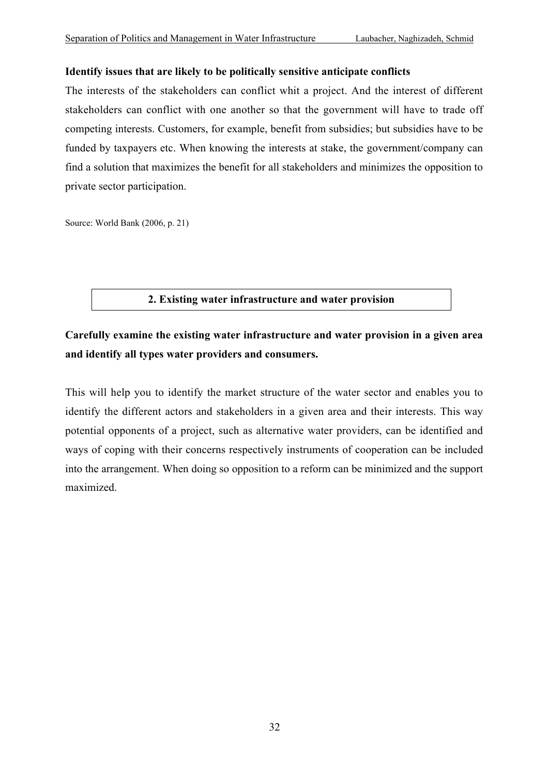#### **Identify issues that are likely to be politically sensitive anticipate conflicts**

The interests of the stakeholders can conflict whit a project. And the interest of different stakeholders can conflict with one another so that the government will have to trade off competing interests. Customers, for example, benefit from subsidies; but subsidies have to be funded by taxpayers etc. When knowing the interests at stake, the government/company can find a solution that maximizes the benefit for all stakeholders and minimizes the opposition to private sector participation.

Source: World Bank (2006, p. 21)

#### **2. Existing water infrastructure and water provision**

# **Carefully examine the existing water infrastructure and water provision in a given area and identify all types water providers and consumers.**

This will help you to identify the market structure of the water sector and enables you to identify the different actors and stakeholders in a given area and their interests. This way potential opponents of a project, such as alternative water providers, can be identified and ways of coping with their concerns respectively instruments of cooperation can be included into the arrangement. When doing so opposition to a reform can be minimized and the support maximized.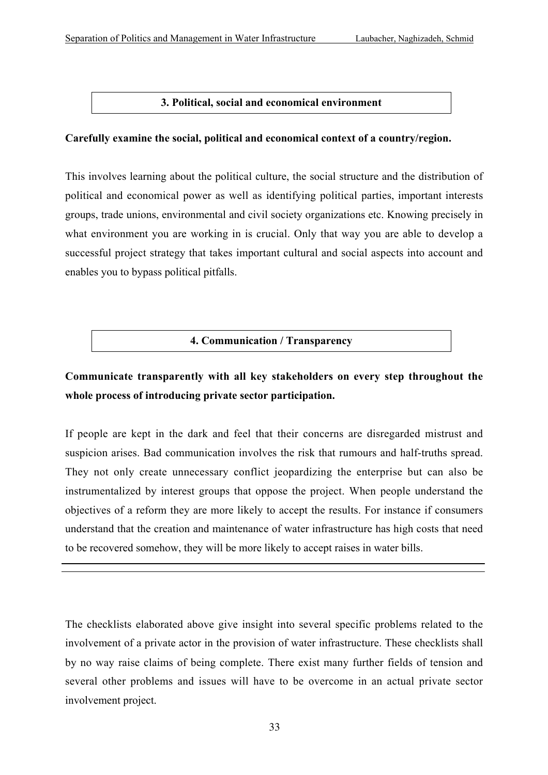### **3. Political, social and economical environment**

#### **Carefully examine the social, political and economical context of a country/region.**

This involves learning about the political culture, the social structure and the distribution of political and economical power as well as identifying political parties, important interests groups, trade unions, environmental and civil society organizations etc. Knowing precisely in what environment you are working in is crucial. Only that way you are able to develop a successful project strategy that takes important cultural and social aspects into account and enables you to bypass political pitfalls.

## **4. Communication / Transparency**

# **Communicate transparently with all key stakeholders on every step throughout the whole process of introducing private sector participation.**

If people are kept in the dark and feel that their concerns are disregarded mistrust and suspicion arises. Bad communication involves the risk that rumours and half-truths spread. They not only create unnecessary conflict jeopardizing the enterprise but can also be instrumentalized by interest groups that oppose the project. When people understand the objectives of a reform they are more likely to accept the results. For instance if consumers understand that the creation and maintenance of water infrastructure has high costs that need to be recovered somehow, they will be more likely to accept raises in water bills.

The checklists elaborated above give insight into several specific problems related to the involvement of a private actor in the provision of water infrastructure. These checklists shall by no way raise claims of being complete. There exist many further fields of tension and several other problems and issues will have to be overcome in an actual private sector involvement project.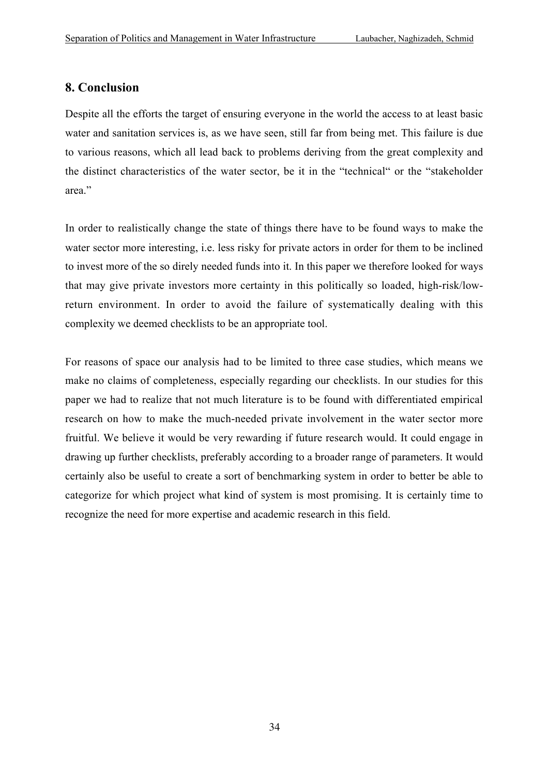## **8. Conclusion**

Despite all the efforts the target of ensuring everyone in the world the access to at least basic water and sanitation services is, as we have seen, still far from being met. This failure is due to various reasons, which all lead back to problems deriving from the great complexity and the distinct characteristics of the water sector, be it in the "technical" or the "stakeholder area."

In order to realistically change the state of things there have to be found ways to make the water sector more interesting, i.e. less risky for private actors in order for them to be inclined to invest more of the so direly needed funds into it. In this paper we therefore looked for ways that may give private investors more certainty in this politically so loaded, high-risk/lowreturn environment. In order to avoid the failure of systematically dealing with this complexity we deemed checklists to be an appropriate tool.

For reasons of space our analysis had to be limited to three case studies, which means we make no claims of completeness, especially regarding our checklists. In our studies for this paper we had to realize that not much literature is to be found with differentiated empirical research on how to make the much-needed private involvement in the water sector more fruitful. We believe it would be very rewarding if future research would. It could engage in drawing up further checklists, preferably according to a broader range of parameters. It would certainly also be useful to create a sort of benchmarking system in order to better be able to categorize for which project what kind of system is most promising. It is certainly time to recognize the need for more expertise and academic research in this field.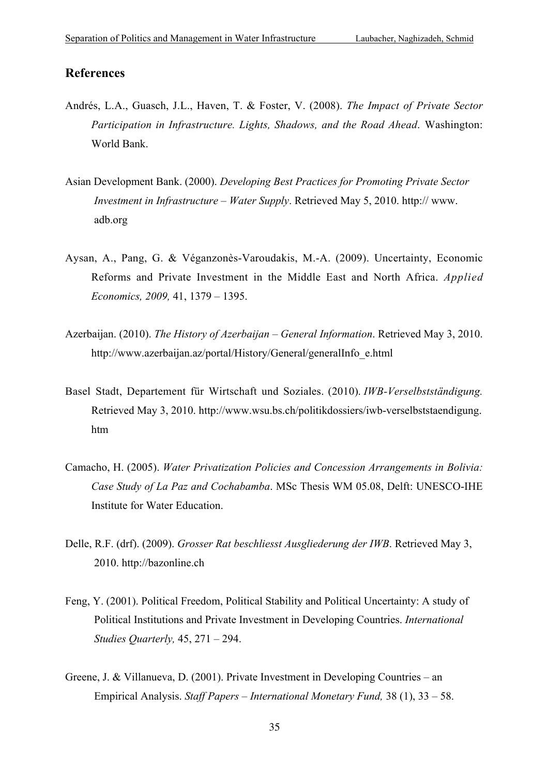#### **References**

- Andrés, L.A., Guasch, J.L., Haven, T. & Foster, V. (2008). *The Impact of Private Sector Participation in Infrastructure. Lights, Shadows, and the Road Ahead*. Washington: World Bank.
- Asian Development Bank. (2000). *Developing Best Practices for Promoting Private Sector Investment in Infrastructure – Water Supply*. Retrieved May 5, 2010. http:// www. adb.org
- Aysan, A., Pang, G. & Véganzonès-Varoudakis, M.-A. (2009). Uncertainty, Economic Reforms and Private Investment in the Middle East and North Africa. *Applied Economics, 2009,* 41, 1379 – 1395.
- Azerbaijan. (2010). *The History of Azerbaijan General Information*. Retrieved May 3, 2010. http://www.azerbaijan.az/portal/History/General/generalInfo\_e.html
- Basel Stadt, Departement für Wirtschaft und Soziales. (2010). *IWB-Verselbstständigung.* Retrieved May 3, 2010. http://www.wsu.bs.ch/politikdossiers/iwb-verselbststaendigung. htm
- Camacho, H. (2005). *Water Privatization Policies and Concession Arrangements in Bolivia: Case Study of La Paz and Cochabamba*. MSc Thesis WM 05.08, Delft: UNESCO-IHE Institute for Water Education.
- Delle, R.F. (drf). (2009). *Grosser Rat beschliesst Ausgliederung der IWB*. Retrieved May 3, 2010. http://bazonline.ch
- Feng, Y. (2001). Political Freedom, Political Stability and Political Uncertainty: A study of Political Institutions and Private Investment in Developing Countries. *International Studies Quarterly,* 45, 271 – 294.
- Greene, J. & Villanueva, D. (2001). Private Investment in Developing Countries an Empirical Analysis. *Staff Papers – International Monetary Fund,* 38 (1), 33 – 58.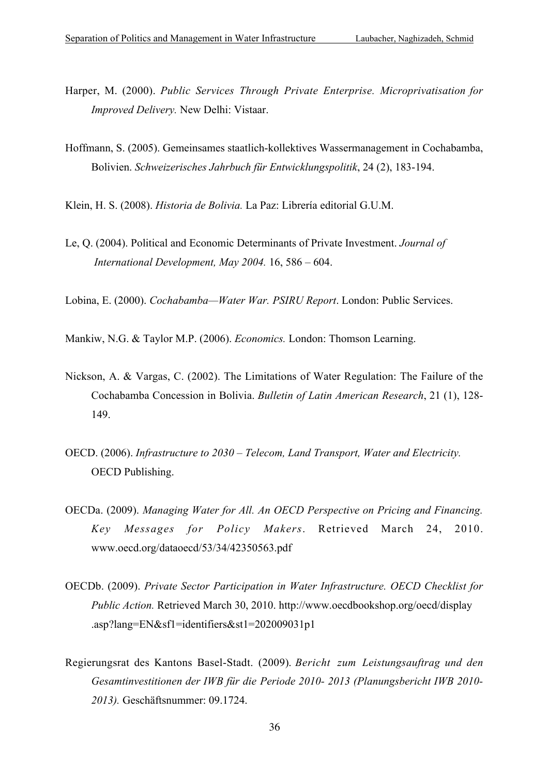- Harper, M. (2000). *Public Services Through Private Enterprise. Microprivatisation for Improved Delivery.* New Delhi: Vistaar.
- Hoffmann, S. (2005). Gemeinsames staatlich-kollektives Wassermanagement in Cochabamba, Bolivien. *Schweizerisches Jahrbuch für Entwicklungspolitik*, 24 (2), 183-194.
- Klein, H. S. (2008). *Historia de Bolivia.* La Paz: Librería editorial G.U.M.
- Le, Q. (2004). Political and Economic Determinants of Private Investment. *Journal of International Development, May 2004.* 16, 586 – 604.
- Lobina, E. (2000). *Cochabamba—Water War. PSIRU Report*. London: Public Services.

Mankiw, N.G. & Taylor M.P. (2006). *Economics.* London: Thomson Learning.

- Nickson, A. & Vargas, C. (2002). The Limitations of Water Regulation: The Failure of the Cochabamba Concession in Bolivia. *Bulletin of Latin American Research*, 21 (1), 128- 149.
- OECD. (2006). *Infrastructure to 2030 Telecom, Land Transport, Water and Electricity.* OECD Publishing.
- OECDa. (2009). *Managing Water for All. An OECD Perspective on Pricing and Financing. Key Messages for Policy Makers*. Retrieved March 24, 2010. www.oecd.org/dataoecd/53/34/42350563.pdf
- OECDb. (2009). *Private Sector Participation in Water Infrastructure. OECD Checklist for Public Action.* Retrieved March 30, 2010. http://www.oecdbookshop.org/oecd/display .asp?lang=EN&sf1=identifiers&st1=202009031p1
- Regierungsrat des Kantons Basel-Stadt. (2009). *Bericht zum Leistungsauftrag und den Gesamtinvestitionen der IWB für die Periode 2010- 2013 (Planungsbericht IWB 2010- 2013).* Geschäftsnummer: 09.1724.